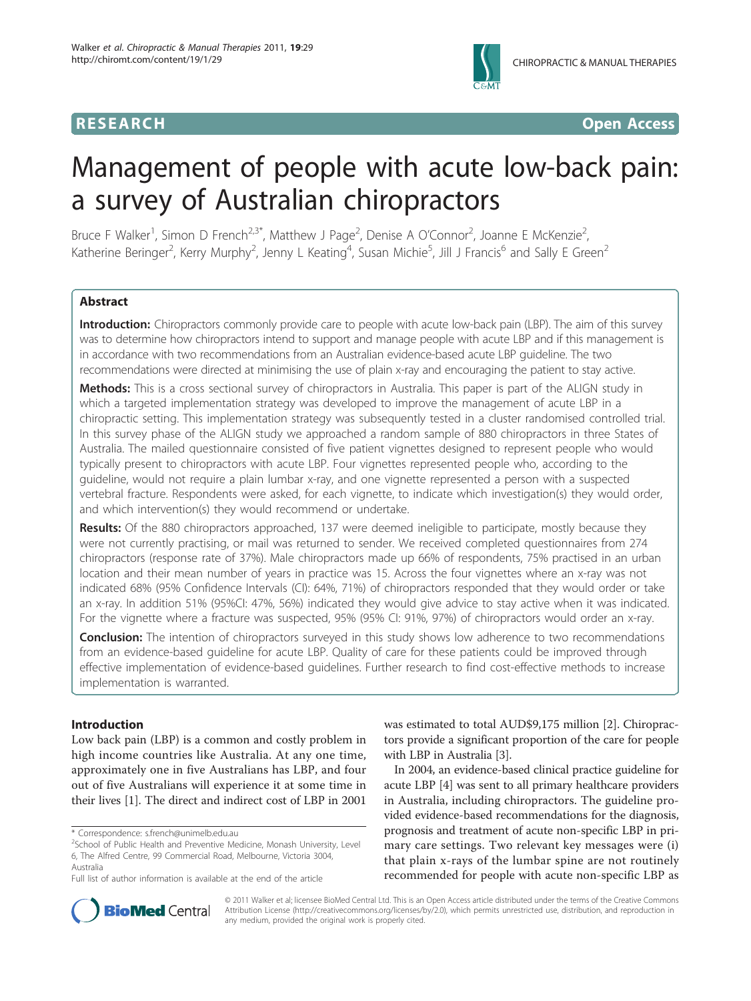**RESEARCH CONSTRUCTION CONSTRUCTS** 

# Management of people with acute low-back pain: a survey of Australian chiropractors

Bruce F Walker<sup>1</sup>, Simon D French<sup>2,3\*</sup>, Matthew J Page<sup>2</sup>, Denise A O'Connor<sup>2</sup>, Joanne E McKenzie<sup>2</sup> , Katherine Beringer<sup>2</sup>, Kerry Murphy<sup>2</sup>, Jenny L Keating<sup>4</sup>, Susan Michie<sup>5</sup>, Jill J Francis<sup>6</sup> and Sally E Green<sup>2</sup>

# Abstract

Introduction: Chiropractors commonly provide care to people with acute low-back pain (LBP). The aim of this survey was to determine how chiropractors intend to support and manage people with acute LBP and if this management is in accordance with two recommendations from an Australian evidence-based acute LBP guideline. The two recommendations were directed at minimising the use of plain x-ray and encouraging the patient to stay active.

Methods: This is a cross sectional survey of chiropractors in Australia. This paper is part of the ALIGN study in which a targeted implementation strategy was developed to improve the management of acute LBP in a chiropractic setting. This implementation strategy was subsequently tested in a cluster randomised controlled trial. In this survey phase of the ALIGN study we approached a random sample of 880 chiropractors in three States of Australia. The mailed questionnaire consisted of five patient vignettes designed to represent people who would typically present to chiropractors with acute LBP. Four vignettes represented people who, according to the guideline, would not require a plain lumbar x-ray, and one vignette represented a person with a suspected vertebral fracture. Respondents were asked, for each vignette, to indicate which investigation(s) they would order, and which intervention(s) they would recommend or undertake.

Results: Of the 880 chiropractors approached, 137 were deemed ineligible to participate, mostly because they were not currently practising, or mail was returned to sender. We received completed questionnaires from 274 chiropractors (response rate of 37%). Male chiropractors made up 66% of respondents, 75% practised in an urban location and their mean number of years in practice was 15. Across the four vignettes where an x-ray was not indicated 68% (95% Confidence Intervals (CI): 64%, 71%) of chiropractors responded that they would order or take an x-ray. In addition 51% (95%CI: 47%, 56%) indicated they would give advice to stay active when it was indicated. For the vignette where a fracture was suspected, 95% (95% CI: 91%, 97%) of chiropractors would order an x-ray.

**Conclusion:** The intention of chiropractors surveyed in this study shows low adherence to two recommendations from an evidence-based guideline for acute LBP. Quality of care for these patients could be improved through effective implementation of evidence-based guidelines. Further research to find cost-effective methods to increase implementation is warranted.

# Introduction

Low back pain (LBP) is a common and costly problem in high income countries like Australia. At any one time, approximately one in five Australians has LBP, and four out of five Australians will experience it at some time in their lives [[1\]](#page-5-0). The direct and indirect cost of LBP in 2001

was estimated to total AUD\$9,175 million [\[2](#page-5-0)]. Chiropractors provide a significant proportion of the care for people with LBP in Australia [\[3\]](#page-5-0).

In 2004, an evidence-based clinical practice guideline for acute LBP [\[4](#page-5-0)] was sent to all primary healthcare providers in Australia, including chiropractors. The guideline provided evidence-based recommendations for the diagnosis, prognosis and treatment of acute non-specific LBP in primary care settings. Two relevant key messages were (i) that plain x-rays of the lumbar spine are not routinely recommended for people with acute non-specific LBP as



© 2011 Walker et al; licensee BioMed Central Ltd. This is an Open Access article distributed under the terms of the Creative Commons Attribution License [\(http://creativecommons.org/licenses/by/2.0](http://creativecommons.org/licenses/by/2.0)), which permits unrestricted use, distribution, and reproduction in any medium, provided the original work is properly cited.

<sup>\*</sup> Correspondence: [s.french@unimelb.edu.au](mailto:s.french@unimelb.edu.au)

<sup>&</sup>lt;sup>2</sup>School of Public Health and Preventive Medicine, Monash University, Level 6, The Alfred Centre, 99 Commercial Road, Melbourne, Victoria 3004, Australia

Full list of author information is available at the end of the article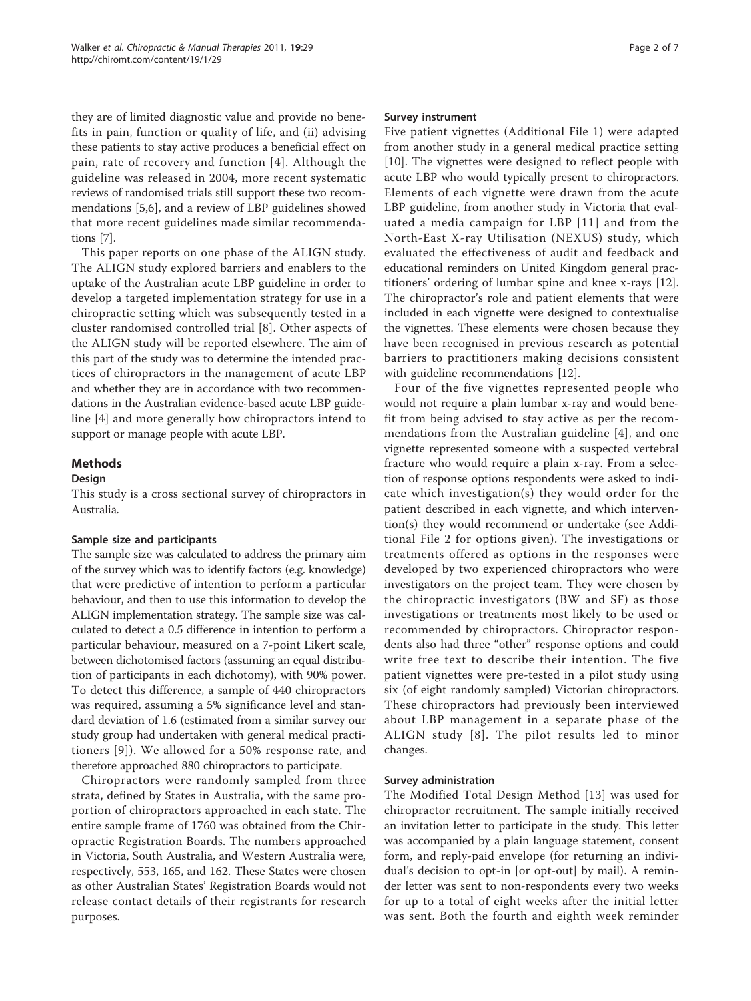they are of limited diagnostic value and provide no benefits in pain, function or quality of life, and (ii) advising these patients to stay active produces a beneficial effect on pain, rate of recovery and function [[4](#page-5-0)]. Although the guideline was released in 2004, more recent systematic reviews of randomised trials still support these two recommendations [\[5](#page-5-0),[6\]](#page-5-0), and a review of LBP guidelines showed that more recent guidelines made similar recommendations [[7\]](#page-5-0).

This paper reports on one phase of the ALIGN study. The ALIGN study explored barriers and enablers to the uptake of the Australian acute LBP guideline in order to develop a targeted implementation strategy for use in a chiropractic setting which was subsequently tested in a cluster randomised controlled trial [\[8](#page-5-0)]. Other aspects of the ALIGN study will be reported elsewhere. The aim of this part of the study was to determine the intended practices of chiropractors in the management of acute LBP and whether they are in accordance with two recommendations in the Australian evidence-based acute LBP guideline [\[4](#page-5-0)] and more generally how chiropractors intend to support or manage people with acute LBP.

# Methods

# Design

This study is a cross sectional survey of chiropractors in Australia.

# Sample size and participants

The sample size was calculated to address the primary aim of the survey which was to identify factors (e.g. knowledge) that were predictive of intention to perform a particular behaviour, and then to use this information to develop the ALIGN implementation strategy. The sample size was calculated to detect a 0.5 difference in intention to perform a particular behaviour, measured on a 7-point Likert scale, between dichotomised factors (assuming an equal distribution of participants in each dichotomy), with 90% power. To detect this difference, a sample of 440 chiropractors was required, assuming a 5% significance level and standard deviation of 1.6 (estimated from a similar survey our study group had undertaken with general medical practitioners [[9\]](#page-5-0)). We allowed for a 50% response rate, and therefore approached 880 chiropractors to participate.

Chiropractors were randomly sampled from three strata, defined by States in Australia, with the same proportion of chiropractors approached in each state. The entire sample frame of 1760 was obtained from the Chiropractic Registration Boards. The numbers approached in Victoria, South Australia, and Western Australia were, respectively, 553, 165, and 162. These States were chosen as other Australian States' Registration Boards would not release contact details of their registrants for research purposes.

## Survey instrument

Five patient vignettes (Additional File [1](#page-5-0)) were adapted from another study in a general medical practice setting [[10\]](#page-5-0). The vignettes were designed to reflect people with acute LBP who would typically present to chiropractors. Elements of each vignette were drawn from the acute LBP guideline, from another study in Victoria that evaluated a media campaign for LBP [[11](#page-5-0)] and from the North-East X-ray Utilisation (NEXUS) study, which evaluated the effectiveness of audit and feedback and educational reminders on United Kingdom general practitioners' ordering of lumbar spine and knee x-rays [\[12](#page-5-0)]. The chiropractor's role and patient elements that were included in each vignette were designed to contextualise the vignettes. These elements were chosen because they have been recognised in previous research as potential barriers to practitioners making decisions consistent with guideline recommendations [\[12](#page-5-0)].

Four of the five vignettes represented people who would not require a plain lumbar x-ray and would benefit from being advised to stay active as per the recommendations from the Australian guideline [\[4](#page-5-0)], and one vignette represented someone with a suspected vertebral fracture who would require a plain x-ray. From a selection of response options respondents were asked to indicate which investigation(s) they would order for the patient described in each vignette, and which intervention(s) they would recommend or undertake (see Additional File [2](#page-5-0) for options given). The investigations or treatments offered as options in the responses were developed by two experienced chiropractors who were investigators on the project team. They were chosen by the chiropractic investigators (BW and SF) as those investigations or treatments most likely to be used or recommended by chiropractors. Chiropractor respondents also had three "other" response options and could write free text to describe their intention. The five patient vignettes were pre-tested in a pilot study using six (of eight randomly sampled) Victorian chiropractors. These chiropractors had previously been interviewed about LBP management in a separate phase of the ALIGN study [[8\]](#page-5-0). The pilot results led to minor changes.

# Survey administration

The Modified Total Design Method [[13](#page-5-0)] was used for chiropractor recruitment. The sample initially received an invitation letter to participate in the study. This letter was accompanied by a plain language statement, consent form, and reply-paid envelope (for returning an individual's decision to opt-in [or opt-out] by mail). A reminder letter was sent to non-respondents every two weeks for up to a total of eight weeks after the initial letter was sent. Both the fourth and eighth week reminder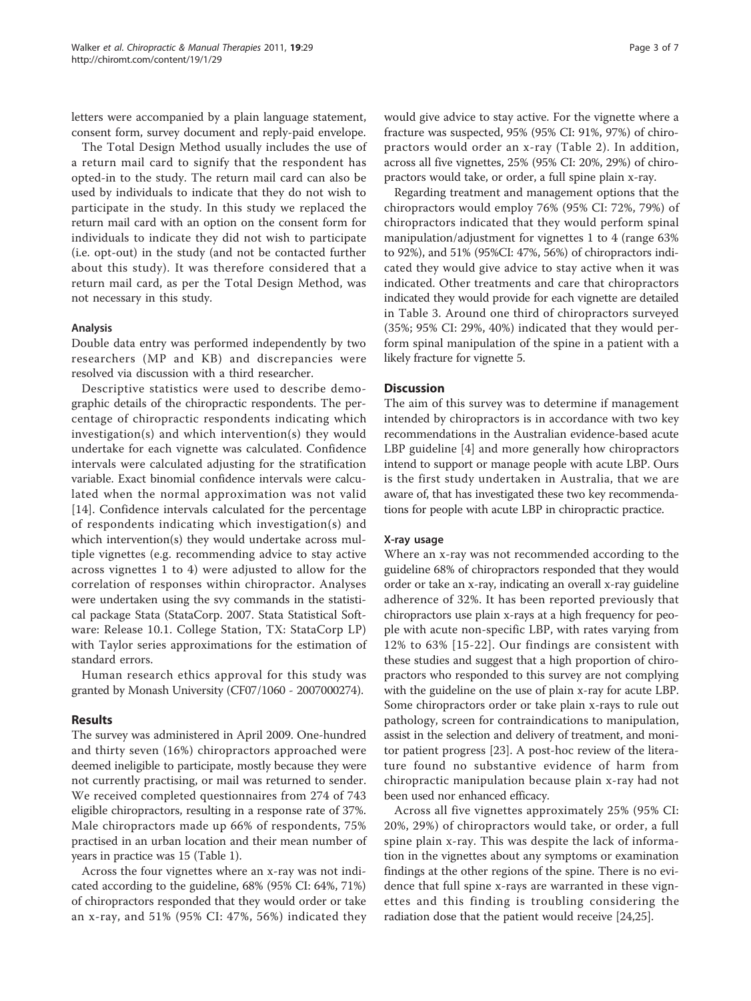letters were accompanied by a plain language statement, consent form, survey document and reply-paid envelope.

The Total Design Method usually includes the use of a return mail card to signify that the respondent has opted-in to the study. The return mail card can also be used by individuals to indicate that they do not wish to participate in the study. In this study we replaced the return mail card with an option on the consent form for individuals to indicate they did not wish to participate (i.e. opt-out) in the study (and not be contacted further about this study). It was therefore considered that a return mail card, as per the Total Design Method, was not necessary in this study.

## Analysis

Double data entry was performed independently by two researchers (MP and KB) and discrepancies were resolved via discussion with a third researcher.

Descriptive statistics were used to describe demographic details of the chiropractic respondents. The percentage of chiropractic respondents indicating which investigation(s) and which intervention(s) they would undertake for each vignette was calculated. Confidence intervals were calculated adjusting for the stratification variable. Exact binomial confidence intervals were calculated when the normal approximation was not valid [[14\]](#page-5-0). Confidence intervals calculated for the percentage of respondents indicating which investigation(s) and which intervention(s) they would undertake across multiple vignettes (e.g. recommending advice to stay active across vignettes 1 to 4) were adjusted to allow for the correlation of responses within chiropractor. Analyses were undertaken using the svy commands in the statistical package Stata (StataCorp. 2007. Stata Statistical Software: Release 10.1. College Station, TX: StataCorp LP) with Taylor series approximations for the estimation of standard errors.

Human research ethics approval for this study was granted by Monash University (CF07/1060 - 2007000274).

#### Results

The survey was administered in April 2009. One-hundred and thirty seven (16%) chiropractors approached were deemed ineligible to participate, mostly because they were not currently practising, or mail was returned to sender. We received completed questionnaires from 274 of 743 eligible chiropractors, resulting in a response rate of 37%. Male chiropractors made up 66% of respondents, 75% practised in an urban location and their mean number of years in practice was 15 (Table [1\)](#page-3-0).

Across the four vignettes where an x-ray was not indicated according to the guideline, 68% (95% CI: 64%, 71%) of chiropractors responded that they would order or take an x-ray, and 51% (95% CI: 47%, 56%) indicated they would give advice to stay active. For the vignette where a fracture was suspected, 95% (95% CI: 91%, 97%) of chiropractors would order an x-ray (Table [2\)](#page-3-0). In addition, across all five vignettes, 25% (95% CI: 20%, 29%) of chiropractors would take, or order, a full spine plain x-ray.

Regarding treatment and management options that the chiropractors would employ 76% (95% CI: 72%, 79%) of chiropractors indicated that they would perform spinal manipulation/adjustment for vignettes 1 to 4 (range 63% to 92%), and 51% (95%CI: 47%, 56%) of chiropractors indicated they would give advice to stay active when it was indicated. Other treatments and care that chiropractors indicated they would provide for each vignette are detailed in Table [3.](#page-4-0) Around one third of chiropractors surveyed (35%; 95% CI: 29%, 40%) indicated that they would perform spinal manipulation of the spine in a patient with a likely fracture for vignette 5.

# **Discussion**

The aim of this survey was to determine if management intended by chiropractors is in accordance with two key recommendations in the Australian evidence-based acute LBP guideline [[4\]](#page-5-0) and more generally how chiropractors intend to support or manage people with acute LBP. Ours is the first study undertaken in Australia, that we are aware of, that has investigated these two key recommendations for people with acute LBP in chiropractic practice.

# X-ray usage

Where an x-ray was not recommended according to the guideline 68% of chiropractors responded that they would order or take an x-ray, indicating an overall x-ray guideline adherence of 32%. It has been reported previously that chiropractors use plain x-rays at a high frequency for people with acute non-specific LBP, with rates varying from 12% to 63% [[15-22\]](#page-5-0). Our findings are consistent with these studies and suggest that a high proportion of chiropractors who responded to this survey are not complying with the guideline on the use of plain x-ray for acute LBP. Some chiropractors order or take plain x-rays to rule out pathology, screen for contraindications to manipulation, assist in the selection and delivery of treatment, and monitor patient progress [\[23](#page-5-0)]. A post-hoc review of the literature found no substantive evidence of harm from chiropractic manipulation because plain x-ray had not been used nor enhanced efficacy.

Across all five vignettes approximately 25% (95% CI: 20%, 29%) of chiropractors would take, or order, a full spine plain x-ray. This was despite the lack of information in the vignettes about any symptoms or examination findings at the other regions of the spine. There is no evidence that full spine x-rays are warranted in these vignettes and this finding is troubling considering the radiation dose that the patient would receive [[24,25](#page-5-0)].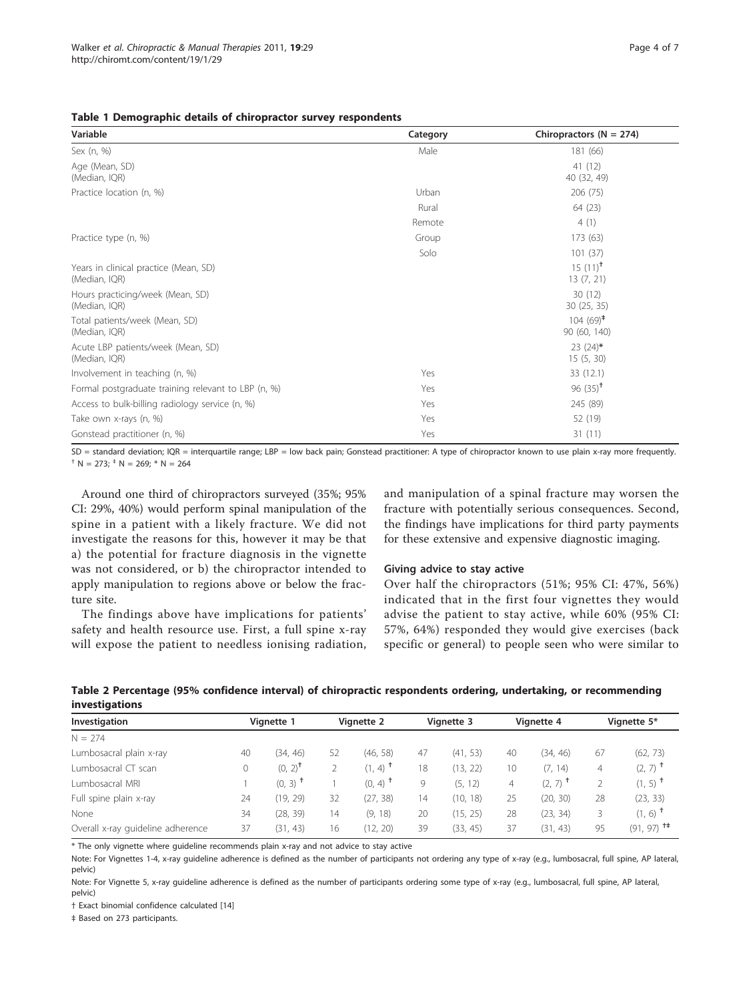<span id="page-3-0"></span>Table 1 Demographic details of chiropractor survey respondents

| Variable                                               | Category | Chiropractors ( $N = 274$ ) |
|--------------------------------------------------------|----------|-----------------------------|
| Sex (n, %)                                             | Male     | 181 (66)                    |
| Age (Mean, SD)<br>(Median, IQR)                        |          | 41 (12)<br>40 (32, 49)      |
| Practice location (n, %)                               | Urban    | 206 (75)                    |
|                                                        | Rural    | 64 (23)                     |
|                                                        | Remote   | 4(1)                        |
| Practice type (n, %)                                   | Group    | 173 (63)                    |
|                                                        | Solo     | 101(37)                     |
| Years in clinical practice (Mean, SD)<br>(Median, IQR) |          | $15(11)^{t}$<br>13(7, 21)   |
| Hours practicing/week (Mean, SD)<br>(Median, IQR)      |          | 30(12)<br>30(25, 35)        |
| Total patients/week (Mean, SD)<br>(Median, IQR)        |          | $104(69)^*$<br>90 (60, 140) |
| Acute LBP patients/week (Mean, SD)<br>(Median, IQR)    |          | $23(24)$ *<br>15(5, 30)     |
| Involvement in teaching (n, %)                         | Yes      | 33 (12.1)                   |
| Formal postgraduate training relevant to LBP (n, %)    | Yes      | $96(35)^{+}$                |
| Access to bulk-billing radiology service (n, %)        | Yes      | 245 (89)                    |
| Take own x-rays (n, %)                                 | Yes      | 52 (19)                     |
| Gonstead practitioner (n, %)                           | Yes      | 31(11)                      |

SD = standard deviation; IQR = interquartile range; LBP = low back pain; Gonstead practitioner: A type of chiropractor known to use plain x-ray more frequently.  $\textsuperscript{+}$  N = 273;  $\textsuperscript{+}$  N = 269;  $\textsuperscript{*}$  N = 264

Around one third of chiropractors surveyed (35%; 95% CI: 29%, 40%) would perform spinal manipulation of the spine in a patient with a likely fracture. We did not investigate the reasons for this, however it may be that a) the potential for fracture diagnosis in the vignette was not considered, or b) the chiropractor intended to apply manipulation to regions above or below the fracture site.

The findings above have implications for patients' safety and health resource use. First, a full spine x-ray will expose the patient to needless ionising radiation, and manipulation of a spinal fracture may worsen the fracture with potentially serious consequences. Second, the findings have implications for third party payments for these extensive and expensive diagnostic imaging.

#### Giving advice to stay active

Over half the chiropractors (51%; 95% CI: 47%, 56%) indicated that in the first four vignettes they would advise the patient to stay active, while 60% (95% CI: 57%, 64%) responded they would give exercises (back specific or general) to people seen who were similar to

| Table 2 Percentage (95% confidence interval) of chiropractic respondents ordering, undertaking, or recommending |  |  |  |  |
|-----------------------------------------------------------------------------------------------------------------|--|--|--|--|
| investigations                                                                                                  |  |  |  |  |

| Investigation                     | Vignette 1 |                       | Vignette 2 |                       | Vignette 3 |          | Vignette 4 |                       | Vignette 5* |                          |
|-----------------------------------|------------|-----------------------|------------|-----------------------|------------|----------|------------|-----------------------|-------------|--------------------------|
| $N = 274$                         |            |                       |            |                       |            |          |            |                       |             |                          |
| Lumbosacral plain x-ray           | 40         | (34, 46)              | 52         | (46, 58)              | 47         | (41, 53) | 40         | (34, 46)              | 67          | (62, 73)                 |
| Lumbosacral CT scan               | 0          | $(0, 2)^+$            |            | $(1, 4)$ <sup>+</sup> | 18         | (13, 22) | 10         | (7, 14)               | 4           | $(2, 7)$ <sup>+</sup>    |
| Lumbosacral MRI                   |            | $(0, 3)$ <sup>+</sup> |            | $(0, 4)$ <sup>+</sup> | 9          | (5, 12)  | 4          | $(2, 7)$ <sup>+</sup> |             | $(1, 5)$ <sup>+</sup>    |
| Full spine plain x-ray            | 24         | (19, 29)              | 32         | (27, 38)              | 14         | (10, 18) | 25         | (20, 30)              | 28          | (23, 33)                 |
| None                              | 34         | (28, 39)              | 14         | (9, 18)               | 20         | (15, 25) | 28         | (23, 34)              |             | $(1, 6)$ <sup>1</sup>    |
| Overall x-ray quideline adherence | 37         | (31, 43)              | 16         | (12, 20)              | 39         | (33, 45) | 37         | (31, 43)              | 95          | $(91, 97)$ <sup>++</sup> |
|                                   |            |                       |            |                       |            |          |            |                       |             |                          |

\* The only vignette where guideline recommends plain x-ray and not advice to stay active

Note: For Vignettes 1-4, x-ray guideline adherence is defined as the number of participants not ordering any type of x-ray (e.g., lumbosacral, full spine, AP lateral, pelvic)

Note: For Vignette 5, x-ray guideline adherence is defined as the number of participants ordering some type of x-ray (e.g., lumbosacral, full spine, AP lateral, pelvic)

† Exact binomial confidence calculated [[14\]](#page-5-0)

‡ Based on 273 participants.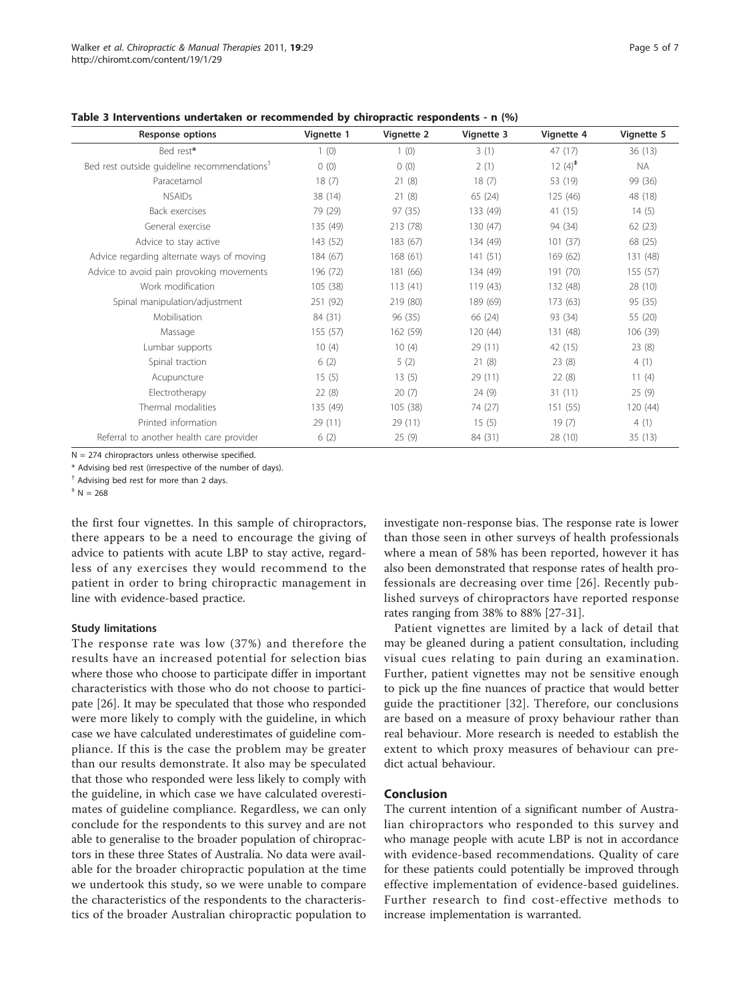| Response options                                        | Vignette 1 | Vignette 2 | Vignette 3 | Vignette 4 | Vignette 5 |
|---------------------------------------------------------|------------|------------|------------|------------|------------|
| Bed rest*                                               | 1(0)       | 1(0)       | 3(1)       | 47(17)     | 36(13)     |
| Bed rest outside quideline recommendations <sup>†</sup> | 0(0)       | 0(0)       | 2(1)       | $12(4)^*$  | <b>NA</b>  |
| Paracetamol                                             | 18(7)      | 21(8)      | 18(7)      | 53 (19)    | 99 (36)    |
| <b>NSAIDs</b>                                           | 38 (14)    | 21(8)      | 65 (24)    | 125 (46)   | 48 (18)    |
| Back exercises                                          | 79 (29)    | 97 (35)    | 133 (49)   | 41 (15)    | 14(5)      |
| General exercise                                        | 135 (49)   | 213 (78)   | 130 (47)   | 94 (34)    | 62(23)     |
| Advice to stay active                                   | 143 (52)   | 183 (67)   | 134 (49)   | 101(37)    | 68 (25)    |
| Advice regarding alternate ways of moving               | 184 (67)   | 168 (61)   | 141(51)    | 169 (62)   | 131 (48)   |
| Advice to avoid pain provoking movements                | 196 (72)   | 181 (66)   | 134 (49)   | 191 (70)   | 155 (57)   |
| Work modification                                       | 105(38)    | 113(41)    | 119(43)    | 132 (48)   | 28 (10)    |
| Spinal manipulation/adjustment                          | 251 (92)   | 219 (80)   | 189 (69)   | 173 (63)   | 95 (35)    |
| Mobilisation                                            | 84 (31)    | 96 (35)    | 66 (24)    | 93 (34)    | 55 (20)    |
| Massage                                                 | 155 (57)   | 162 (59)   | 120 (44)   | 131 (48)   | 106 (39)   |
| Lumbar supports                                         | 10(4)      | 10(4)      | 29 (11)    | 42 (15)    | 23(8)      |
| Spinal traction                                         | 6(2)       | 5(2)       | 21(8)      | 23(8)      | 4(1)       |
| Acupuncture                                             | 15(5)      | 13(5)      | 29 (11)    | 22(8)      | 11(4)      |
| Electrotherapy                                          | 22(8)      | 20(7)      | 24(9)      | 31(11)     | 25(9)      |
| Thermal modalities                                      | 135 (49)   | 105 (38)   | 74 (27)    | 151(55)    | 120 (44)   |
| Printed information                                     | 29 (11)    | 29 (11)    | 15(5)      | 19(7)      | 4(1)       |
| Referral to another health care provider                | 6(2)       | 25(9)      | 84 (31)    | 28 (10)    | 35(13)     |

<span id="page-4-0"></span>Table 3 Interventions undertaken or recommended by chiropractic respondents - n (%)

N = 274 chiropractors unless otherwise specified.

\* Advising bed rest (irrespective of the number of days).

† Advising bed rest for more than 2 days.

 $* N = 268$ 

the first four vignettes. In this sample of chiropractors, there appears to be a need to encourage the giving of advice to patients with acute LBP to stay active, regardless of any exercises they would recommend to the patient in order to bring chiropractic management in line with evidence-based practice.

# Study limitations

The response rate was low (37%) and therefore the results have an increased potential for selection bias where those who choose to participate differ in important characteristics with those who do not choose to participate [[26\]](#page-5-0). It may be speculated that those who responded were more likely to comply with the guideline, in which case we have calculated underestimates of guideline compliance. If this is the case the problem may be greater than our results demonstrate. It also may be speculated that those who responded were less likely to comply with the guideline, in which case we have calculated overestimates of guideline compliance. Regardless, we can only conclude for the respondents to this survey and are not able to generalise to the broader population of chiropractors in these three States of Australia. No data were available for the broader chiropractic population at the time we undertook this study, so we were unable to compare the characteristics of the respondents to the characteristics of the broader Australian chiropractic population to

investigate non-response bias. The response rate is lower than those seen in other surveys of health professionals where a mean of 58% has been reported, however it has also been demonstrated that response rates of health professionals are decreasing over time [[26](#page-5-0)]. Recently published surveys of chiropractors have reported response rates ranging from 38% to 88% [\[27](#page-5-0)-[31\]](#page-6-0).

Patient vignettes are limited by a lack of detail that may be gleaned during a patient consultation, including visual cues relating to pain during an examination. Further, patient vignettes may not be sensitive enough to pick up the fine nuances of practice that would better guide the practitioner [\[32](#page-6-0)]. Therefore, our conclusions are based on a measure of proxy behaviour rather than real behaviour. More research is needed to establish the extent to which proxy measures of behaviour can predict actual behaviour.

# Conclusion

The current intention of a significant number of Australian chiropractors who responded to this survey and who manage people with acute LBP is not in accordance with evidence-based recommendations. Quality of care for these patients could potentially be improved through effective implementation of evidence-based guidelines. Further research to find cost-effective methods to increase implementation is warranted.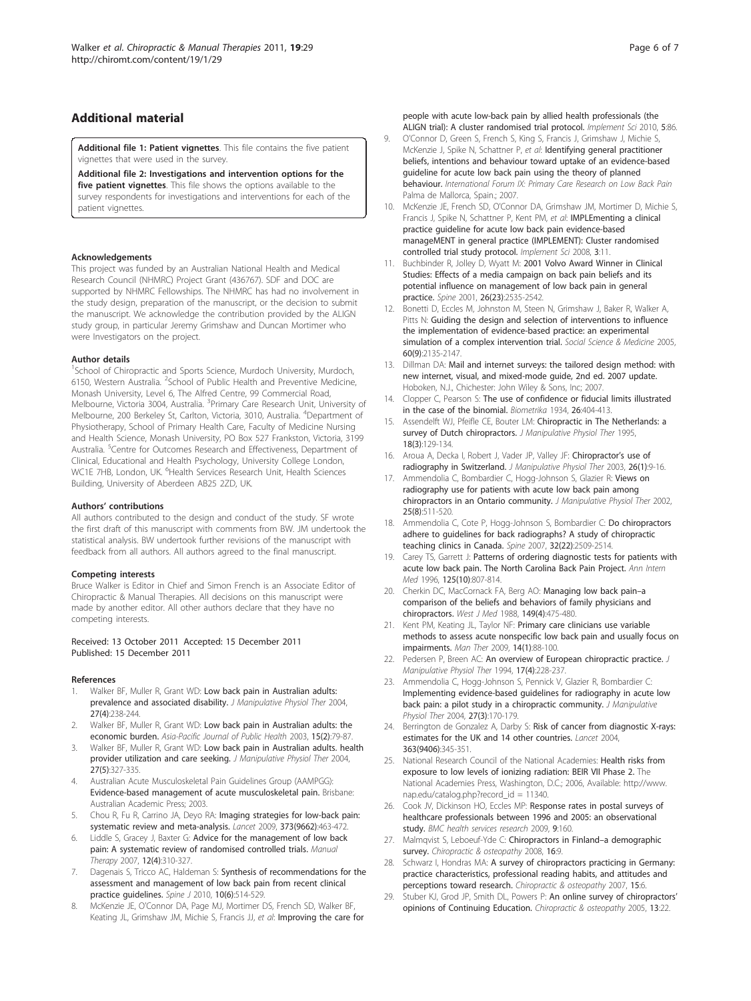# <span id="page-5-0"></span>Additional material

[Additional file 1: P](http://www.biomedcentral.com/content/supplementary/2045-709X-19-29-S1.DOC)atient vignettes. This file contains the five patient vignettes that were used in the survey.

[Additional file 2: I](http://www.biomedcentral.com/content/supplementary/2045-709X-19-29-S2.DOC)nvestigations and intervention options for the five patient vignettes. This file shows the options available to the survey respondents for investigations and interventions for each of the patient vignettes.

#### Acknowledgements

This project was funded by an Australian National Health and Medical Research Council (NHMRC) Project Grant (436767). SDF and DOC are supported by NHMRC Fellowships. The NHMRC has had no involvement in the study design, preparation of the manuscript, or the decision to submit the manuscript. We acknowledge the contribution provided by the ALIGN study group, in particular Jeremy Grimshaw and Duncan Mortimer who were Investigators on the project.

#### Author details

<sup>1</sup>School of Chiropractic and Sports Science, Murdoch University, Murdoch, 6150, Western Australia. <sup>2</sup>School of Public Health and Preventive Medicine, Monash University, Level 6, The Alfred Centre, 99 Commercial Road, Melbourne, Victoria 3004, Australia. <sup>3</sup>Primary Care Research Unit, University of Melbourne, 200 Berkeley St, Carlton, Victoria, 3010, Australia. <sup>4</sup>Department of Physiotherapy, School of Primary Health Care, Faculty of Medicine Nursing and Health Science, Monash University, PO Box 527 Frankston, Victoria, 3199 Australia. <sup>5</sup>Centre for Outcomes Research and Effectiveness, Department of Clinical, Educational and Health Psychology, University College London, WC1E 7HB, London, UK. <sup>6</sup>Health Services Research Unit, Health Sciences Building, University of Aberdeen AB25 2ZD, UK.

#### Authors' contributions

All authors contributed to the design and conduct of the study. SF wrote the first draft of this manuscript with comments from BW. JM undertook the statistical analysis. BW undertook further revisions of the manuscript with feedback from all authors. All authors agreed to the final manuscript.

#### Competing interests

Bruce Walker is Editor in Chief and Simon French is an Associate Editor of Chiropractic & Manual Therapies. All decisions on this manuscript were made by another editor. All other authors declare that they have no competing interests.

#### Received: 13 October 2011 Accepted: 15 December 2011 Published: 15 December 2011

#### References

- Walker BF, Muller R, Grant WD: [Low back pain in Australian adults:](http://www.ncbi.nlm.nih.gov/pubmed/15148462?dopt=Abstract) [prevalence and associated disability.](http://www.ncbi.nlm.nih.gov/pubmed/15148462?dopt=Abstract) J Manipulative Physiol Ther 2004, 27(4):238-244.
- 2. Walker BF, Muller R, Grant WD: [Low back pain in Australian adults: the](http://www.ncbi.nlm.nih.gov/pubmed/15038680?dopt=Abstract) [economic burden.](http://www.ncbi.nlm.nih.gov/pubmed/15038680?dopt=Abstract) Asia-Pacific Journal of Public Health 2003, 15(2):79-87.
- Walker BF, Muller R, Grant WD: [Low back pain in Australian adults. health](http://www.ncbi.nlm.nih.gov/pubmed/15195040?dopt=Abstract) [provider utilization and care seeking.](http://www.ncbi.nlm.nih.gov/pubmed/15195040?dopt=Abstract) J Manipulative Physiol Ther 2004, 27(5):327-335.
- 4. Australian Acute Musculoskeletal Pain Guidelines Group (AAMPGG): Evidence-based management of acute musculoskeletal pain. Brisbane: Australian Academic Press; 2003.
- 5. Chou R, Fu R, Carrino JA, Deyo RA: [Imaging strategies for low-back pain:](http://www.ncbi.nlm.nih.gov/pubmed/19200918?dopt=Abstract) [systematic review and meta-analysis.](http://www.ncbi.nlm.nih.gov/pubmed/19200918?dopt=Abstract) Lancet 2009, 373(9662):463-472.
- 6. Liddle S, Gracey J, Baxter G: [Advice for the management of low back](http://www.ncbi.nlm.nih.gov/pubmed/17395522?dopt=Abstract) [pain: A systematic review of randomised controlled trials.](http://www.ncbi.nlm.nih.gov/pubmed/17395522?dopt=Abstract) Manual Therapy 2007, 12(4):310-327.
- 7. Dagenais S, Tricco AC, Haldeman S: [Synthesis of recommendations for the](http://www.ncbi.nlm.nih.gov/pubmed/20494814?dopt=Abstract) [assessment and management of low back pain from recent clinical](http://www.ncbi.nlm.nih.gov/pubmed/20494814?dopt=Abstract) [practice guidelines.](http://www.ncbi.nlm.nih.gov/pubmed/20494814?dopt=Abstract) Spine J 2010, 10(6):514-529.
- 8. McKenzie JE, O'Connor DA, Page MJ, Mortimer DS, French SD, Walker BF, Keating JL, Grimshaw JM, Michie S, Francis JJ, et al: [Improving the care for](http://www.ncbi.nlm.nih.gov/pubmed/21067614?dopt=Abstract)

[people with acute low-back pain by allied health professionals \(the](http://www.ncbi.nlm.nih.gov/pubmed/21067614?dopt=Abstract) [ALIGN trial\): A cluster randomised trial protocol.](http://www.ncbi.nlm.nih.gov/pubmed/21067614?dopt=Abstract) Implement Sci 2010, 5:86.

- 9. O'Connor D, Green S, French S, King S, Francis J, Grimshaw J, Michie S, McKenzie J, Spike N, Schattner P, et al: Identifying general practitioner beliefs, intentions and behaviour toward uptake of an evidence-based guideline for acute low back pain using the theory of planned behaviour. International Forum IX: Primary Care Research on Low Back Pain Palma de Mallorca, Spain.; 2007.
- 10. McKenzie JE, French SD, O'Connor DA, Grimshaw JM, Mortimer D, Michie S, Francis J, Spike N, Schattner P, Kent PM, et al: [IMPLEmenting a clinical](http://www.ncbi.nlm.nih.gov/pubmed/18294375?dopt=Abstract) [practice guideline for acute low back pain evidence-based](http://www.ncbi.nlm.nih.gov/pubmed/18294375?dopt=Abstract) [manageMENT in general practice \(IMPLEMENT\): Cluster randomised](http://www.ncbi.nlm.nih.gov/pubmed/18294375?dopt=Abstract) [controlled trial study protocol.](http://www.ncbi.nlm.nih.gov/pubmed/18294375?dopt=Abstract) Implement Sci 2008, 3:11.
- 11. Buchbinder R, Jolley D, Wyatt M: [2001 Volvo Award Winner in Clinical](http://www.ncbi.nlm.nih.gov/pubmed/11725233?dopt=Abstract) [Studies: Effects of a media campaign on back pain beliefs and its](http://www.ncbi.nlm.nih.gov/pubmed/11725233?dopt=Abstract) [potential influence on management of low back pain in general](http://www.ncbi.nlm.nih.gov/pubmed/11725233?dopt=Abstract) [practice.](http://www.ncbi.nlm.nih.gov/pubmed/11725233?dopt=Abstract) Spine 2001, 26(23):2535-2542.
- 12. Bonetti D, Eccles M, Johnston M, Steen N, Grimshaw J, Baker R, Walker A, Pitts N: [Guiding the design and selection of interventions to influence](http://www.ncbi.nlm.nih.gov/pubmed/22224110?dopt=Abstract) [the implementation of evidence-based practice: an experimental](http://www.ncbi.nlm.nih.gov/pubmed/22224110?dopt=Abstract) [simulation of a complex intervention trial.](http://www.ncbi.nlm.nih.gov/pubmed/22224110?dopt=Abstract) Social Science & Medicine 2005, 60(9):2135-2147.
- 13. Dillman DA: Mail and internet surveys: the tailored design method: with new internet, visual, and mixed-mode guide, 2nd ed. 2007 update. Hoboken, N.J., Chichester: John Wiley & Sons, Inc; 2007.
- 14. Clopper C, Pearson S: The use of confidence or fiducial limits illustrated in the case of the binomial. Biometrika 1934, 26:404-413.
- 15. Assendelft WJ, Pfeifle CE, Bouter LM: [Chiropractic in The Netherlands: a](http://www.ncbi.nlm.nih.gov/pubmed/7790791?dopt=Abstract) [survey of Dutch chiropractors.](http://www.ncbi.nlm.nih.gov/pubmed/7790791?dopt=Abstract) J Manipulative Physiol Ther 1995, 18(3):129-134.
- 16. Aroua A, Decka I, Robert J, Vader JP, Valley JF: [Chiropractor](http://www.ncbi.nlm.nih.gov/pubmed/12532133?dopt=Abstract)'s use of [radiography in Switzerland.](http://www.ncbi.nlm.nih.gov/pubmed/12532133?dopt=Abstract) J Manipulative Physiol Ther 2003, 26(1):9-16.
- 17. Ammendolia C, Bombardier C, Hogg-Johnson S, Glazier R: [Views on](http://www.ncbi.nlm.nih.gov/pubmed/12381973?dopt=Abstract) [radiography use for patients with acute low back pain among](http://www.ncbi.nlm.nih.gov/pubmed/12381973?dopt=Abstract) [chiropractors in an Ontario community.](http://www.ncbi.nlm.nih.gov/pubmed/12381973?dopt=Abstract) J Manipulative Physiol Ther 2002, 25(8):511-520.
- 18. Ammendolia C, Cote P, Hogg-Johnson S, Bombardier C: [Do chiropractors](http://www.ncbi.nlm.nih.gov/pubmed/18090093?dopt=Abstract) [adhere to guidelines for back radiographs? A study of chiropractic](http://www.ncbi.nlm.nih.gov/pubmed/18090093?dopt=Abstract) [teaching clinics in Canada.](http://www.ncbi.nlm.nih.gov/pubmed/18090093?dopt=Abstract) Spine 2007, 32(22):2509-2514.
- 19. Carey TS, Garrett J: [Patterns of ordering diagnostic tests for patients with](http://www.ncbi.nlm.nih.gov/pubmed/8928987?dopt=Abstract) [acute low back pain. The North Carolina Back Pain Project.](http://www.ncbi.nlm.nih.gov/pubmed/8928987?dopt=Abstract) Ann Intern Med 1996, 125(10):807-814.
- 20. Cherkin DC, MacCornack FA, Berg AO: [Managing low back pain](http://www.ncbi.nlm.nih.gov/pubmed/2976220?dopt=Abstract)–a [comparison of the beliefs and behaviors of family physicians and](http://www.ncbi.nlm.nih.gov/pubmed/2976220?dopt=Abstract) [chiropractors.](http://www.ncbi.nlm.nih.gov/pubmed/2976220?dopt=Abstract) West J Med 1988, 149(4):475-480.
- 21. Kent PM, Keating JL, Taylor NF: [Primary care clinicians use variable](http://www.ncbi.nlm.nih.gov/pubmed/18316237?dopt=Abstract) [methods to assess acute nonspecific low back pain and usually focus on](http://www.ncbi.nlm.nih.gov/pubmed/18316237?dopt=Abstract) [impairments.](http://www.ncbi.nlm.nih.gov/pubmed/18316237?dopt=Abstract) Man Ther 2009, 14(1):88-100.
- 22. Pedersen P, Breen AC: [An overview of European chiropractic practice.](http://www.ncbi.nlm.nih.gov/pubmed/8046278?dopt=Abstract) J Manipulative Physiol Ther 1994, 17(4):228-237.
- 23. Ammendolia C, Hogg-Johnson S, Pennick V, Glazier R, Bombardier C: [Implementing evidence-based guidelines for radiography in acute low](http://www.ncbi.nlm.nih.gov/pubmed/15129199?dopt=Abstract) [back pain: a pilot study in a chiropractic community.](http://www.ncbi.nlm.nih.gov/pubmed/15129199?dopt=Abstract) J Manipulative Physiol Ther 2004, 27(3):170-179.
- 24. Berrington de Gonzalez A, Darby S: [Risk of cancer from diagnostic X-rays:](http://www.ncbi.nlm.nih.gov/pubmed/15070562?dopt=Abstract) [estimates for the UK and 14 other countries.](http://www.ncbi.nlm.nih.gov/pubmed/15070562?dopt=Abstract) Lancet 2004, 363(9406):345-351.
- 25. National Research Council of the National Academies: Health risks from exposure to low levels of ionizing radiation: BEIR VII Phase 2. The National Academies Press, Washington, D.C.; 2006, Available: http://www. nap.edu/catalog.php?record\_id = 11340.
- 26. Cook JV, Dickinson HO, Eccles MP: [Response rates in postal surveys of](http://www.ncbi.nlm.nih.gov/pubmed/19751504?dopt=Abstract) [healthcare professionals between 1996 and 2005: an observational](http://www.ncbi.nlm.nih.gov/pubmed/19751504?dopt=Abstract) [study.](http://www.ncbi.nlm.nih.gov/pubmed/19751504?dopt=Abstract) BMC health services research 2009, 9:160.
- 27. Malmqvist S, Leboeuf-Yde C: [Chiropractors in Finland](http://www.ncbi.nlm.nih.gov/pubmed/22215767?dopt=Abstract)-a demographic [survey.](http://www.ncbi.nlm.nih.gov/pubmed/22215767?dopt=Abstract) Chiropractic & osteopathy 2008, 16:9.
- 28. Schwarz I, Hondras MA: [A survey of chiropractors practicing in Germany:](http://www.ncbi.nlm.nih.gov/pubmed/22215767?dopt=Abstract) [practice characteristics, professional reading habits, and attitudes and](http://www.ncbi.nlm.nih.gov/pubmed/22215767?dopt=Abstract) [perceptions toward research.](http://www.ncbi.nlm.nih.gov/pubmed/22215767?dopt=Abstract) Chiropractic & osteopathy 2007, 15:6.
- 29. Stuber KJ, Grod JP, Smith DL, Powers P: [An online survey of chiropractors](http://www.ncbi.nlm.nih.gov/pubmed/22215767?dopt=Abstract)' [opinions of Continuing Education.](http://www.ncbi.nlm.nih.gov/pubmed/22215767?dopt=Abstract) Chiropractic & osteopathy 2005, 13:22.